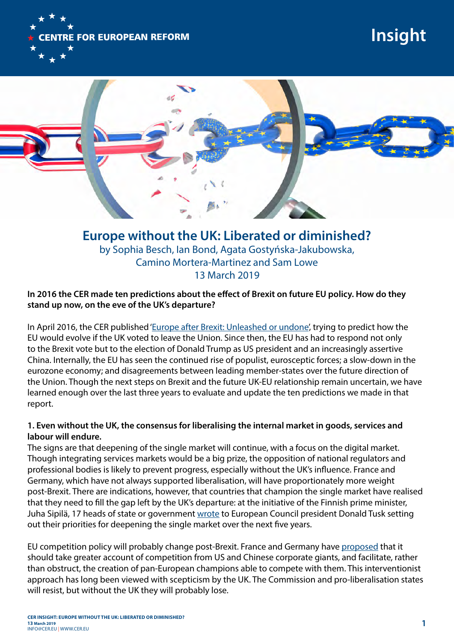

# **Insight**



**Europe without the UK: Liberated or diminished?** by Sophia Besch, Ian Bond, Agata Gostyńska-Jakubowska, Camino Mortera-Martinez and Sam Lowe 13 March 2019

## **In 2016 the CER made ten predictions about the effect of Brexit on future EU policy. How do they stand up now, on the eve of the UK's departure?**

In April 2016, the CER published ['Europe after Brexit: Unleashed or undone'](https://www.cer.eu/publications/archive/policy-brief/2016/europe-after-brexit-unleashed-or-undone), trying to predict how the EU would evolve if the UK voted to leave the Union. Since then, the EU has had to respond not only to the Brexit vote but to the election of Donald Trump as US president and an increasingly assertive China. Internally, the EU has seen the continued rise of populist, eurosceptic forces; a slow-down in the eurozone economy; and disagreements between leading member-states over the future direction of the Union. Though the next steps on Brexit and the future UK-EU relationship remain uncertain, we have learned enough over the last three years to evaluate and update the ten predictions we made in that report.

## **1. Even without the UK, the consensus for liberalising the internal market in goods, services and labour will endure.**

The signs are that deepening of the single market will continue, with a focus on the digital market. Though integrating services markets would be a big prize, the opposition of national regulators and professional bodies is likely to prevent progress, especially without the UK's influence. France and Germany, which have not always supported liberalisation, will have proportionately more weight post-Brexit. There are indications, however, that countries that champion the single market have realised that they need to fill the gap left by the UK's departure: at the initiative of the Finnish prime minister, Juha Sipilä, 17 heads of state or government [wrote](https://vnk.fi/documents/10616/334517/EU-johtajien%2Bkirje%2Bsis%C3%A4markkinoiden%2Bkehitt%C3%A4misest%C3%A4/862ebe6c-cbee-2fcc-6d66-3ad7c3d10e8c/EU-johtajien%2Bkirje%2Bsis%C3%A4markkinoiden%2Bkehitt%C3%A4misest%C3%A4.pdf/EU-johtajien%2Bkirje%2Bsis%C3%A4markkinoiden%2Bkehitt%C3%A4misest%C3%A4.pdf) to European Council president Donald Tusk setting out their priorities for deepening the single market over the next five years.

EU competition policy will probably change post-Brexit. France and Germany have [proposed](https://www.bmwi.de/Redaktion/DE/Downloads/F/franco-german-manifesto-for-a-european-industrial-policy.pdf%3F__blob%3DpublicationFile%26v%3D2) that it should take greater account of competition from US and Chinese corporate giants, and facilitate, rather than obstruct, the creation of pan-European champions able to compete with them. This interventionist approach has long been viewed with scepticism by the UK. The Commission and pro-liberalisation states will resist, but without the UK they will probably lose.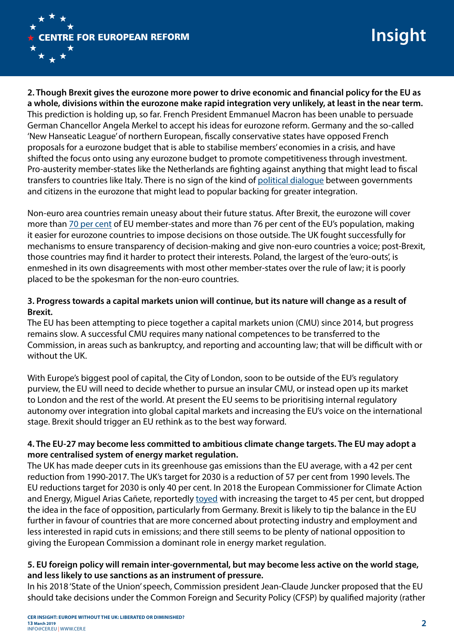

**2. Though Brexit gives the eurozone more power to drive economic and financial policy for the EU as a whole, divisions within the eurozone make rapid integration very unlikely, at least in the near term.** This prediction is holding up, so far. French President Emmanuel Macron has been unable to persuade German Chancellor Angela Merkel to accept his ideas for eurozone reform. Germany and the so-called 'New Hanseatic League' of northern European, fiscally conservative states have opposed French proposals for a eurozone budget that is able to stabilise members' economies in a crisis, and have shifted the focus onto using any eurozone budget to promote competitiveness through investment. Pro-austerity member-states like the Netherlands are fighting against anything that might lead to fiscal transfers to countries like Italy. There is no sign of the kind of [political dialogue](https://www.cer.eu/publications/archive/policy-brief/2017/new-deal-eurozone-remedy-or-placebo) between governments and citizens in the eurozone that might lead to popular backing for greater integration.

Non-euro area countries remain uneasy about their future status. After Brexit, the eurozone will cover more than [70 per cent](https://www.swp-berlin.org/fileadmin/contents/products/comments/2019C03_tks_Funk.pdf) of EU member-states and more than 76 per cent of the EU's population, making it easier for eurozone countries to impose decisions on those outside. The UK fought successfully for mechanisms to ensure transparency of decision-making and give non-euro countries a voice; post-Brexit, those countries may find it harder to protect their interests. Poland, the largest of the 'euro-outs', is enmeshed in its own disagreements with most other member-states over the rule of law; it is poorly placed to be the spokesman for the non-euro countries.

# **3. Progress towards a capital markets union will continue, but its nature will change as a result of Brexit.**

The EU has been attempting to piece together a capital markets union (CMU) since 2014, but progress remains slow. A successful CMU requires many national competences to be transferred to the Commission, in areas such as bankruptcy, and reporting and accounting law; that will be difficult with or without the UK.

With Europe's biggest pool of capital, the City of London, soon to be outside of the EU's regulatory purview, the EU will need to decide whether to pursue an insular CMU, or instead open up its market to London and the rest of the world. At present the EU seems to be prioritising internal regulatory autonomy over integration into global capital markets and increasing the EU's voice on the international stage. Brexit should trigger an EU rethink as to the best way forward.

# **4. The EU-27 may become less committed to ambitious climate change targets. The EU may adopt a more centralised system of energy market regulation.**

The UK has made deeper cuts in its greenhouse gas emissions than the EU average, with a 42 per cent reduction from 1990-2017. The UK's target for 2030 is a reduction of 57 per cent from 1990 levels. The EU reductions target for 2030 is only 40 per cent. In 2018 the European Commissioner for Climate Action and Energy, Miguel Arias Cañete, reportedly [toyed](https://www.euractiv.com/section/climate-environment/news/european-commission-to-abandon-plans-for-rising-climate-ambition/) with increasing the target to 45 per cent, but dropped the idea in the face of opposition, particularly from Germany. Brexit is likely to tip the balance in the EU further in favour of countries that are more concerned about protecting industry and employment and less interested in rapid cuts in emissions; and there still seems to be plenty of national opposition to giving the European Commission a dominant role in energy market regulation.

## **5. EU foreign policy will remain inter-governmental, but may become less active on the world stage, and less likely to use sanctions as an instrument of pressure.**

In his 2018 'State of the Union' speech, Commission president Jean-Claude Juncker proposed that the EU should take decisions under the Common Foreign and Security Policy (CFSP) by qualified majority (rather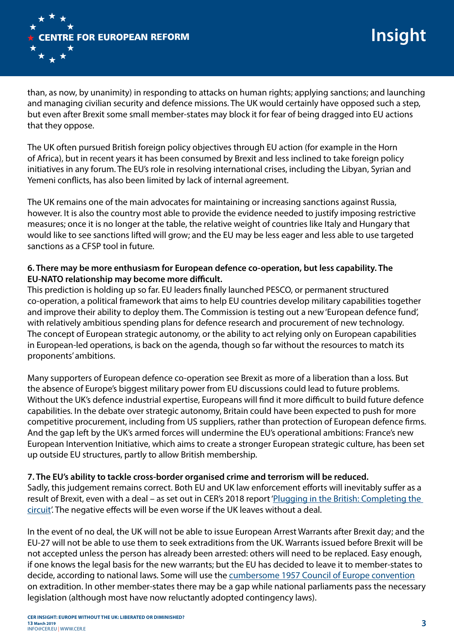

than, as now, by unanimity) in responding to attacks on human rights; applying sanctions; and launching and managing civilian security and defence missions. The UK would certainly have opposed such a step, but even after Brexit some small member-states may block it for fear of being dragged into EU actions that they oppose.

The UK often pursued British foreign policy objectives through EU action (for example in the Horn of Africa), but in recent years it has been consumed by Brexit and less inclined to take foreign policy initiatives in any forum. The EU's role in resolving international crises, including the Libyan, Syrian and Yemeni conflicts, has also been limited by lack of internal agreement.

The UK remains one of the main advocates for maintaining or increasing sanctions against Russia, however. It is also the country most able to provide the evidence needed to justify imposing restrictive measures; once it is no longer at the table, the relative weight of countries like Italy and Hungary that would like to see sanctions lifted will grow; and the EU may be less eager and less able to use targeted sanctions as a CFSP tool in future.

## **6. There may be more enthusiasm for European defence co-operation, but less capability. The EU-NATO relationship may become more difficult.**

This prediction is holding up so far. EU leaders finally launched PESCO, or permanent structured co-operation, a political framework that aims to help EU countries develop military capabilities together and improve their ability to deploy them. The Commission is testing out a new 'European defence fund', with relatively ambitious spending plans for defence research and procurement of new technology. The concept of European strategic autonomy, or the ability to act relying only on European capabilities in European-led operations, is back on the agenda, though so far without the resources to match its proponents' ambitions.

Many supporters of European defence co-operation see Brexit as more of a liberation than a loss. But the absence of Europe's biggest military power from EU discussions could lead to future problems. Without the UK's defence industrial expertise, Europeans will find it more difficult to build future defence capabilities. In the debate over strategic autonomy, Britain could have been expected to push for more competitive procurement, including from US suppliers, rather than protection of European defence firms. And the gap left by the UK's armed forces will undermine the EU's operational ambitions: France's new European Intervention Initiative, which aims to create a stronger European strategic culture, has been set up outside EU structures, partly to allow British membership.

#### **7. The EU's ability to tackle cross-border organised crime and terrorism will be reduced.**

Sadly, this judgement remains correct. Both EU and UK law enforcement efforts will inevitably suffer as a result of Brexit, even with a deal – as set out in CER's 2018 report 'Plugging in the British: Completing the [circuit](https://www.cer.eu/publications/archive/report/2018/plugging-british-completing-circuit)'. The negative effects will be even worse if the UK leaves without a deal.

In the event of no deal, the UK will not be able to issue European Arrest Warrants after Brexit day; and the EU-27 will not be able to use them to seek extraditions from the UK. Warrants issued before Brexit will be not accepted unless the person has already been arrested: others will need to be replaced. Easy enough, if one knows the legal basis for the new warrants; but the EU has decided to leave it to member-states to decide, according to national laws. Some will use the [cumbersome 1957 Council of Europe convention](https://www.cer.eu/publications/archive/policy-brief/2018/plugging-british-eu-justice-and-home-affairs) on extradition. In other member-states there may be a gap while national parliaments pass the necessary legislation (although most have now reluctantly adopted contingency laws).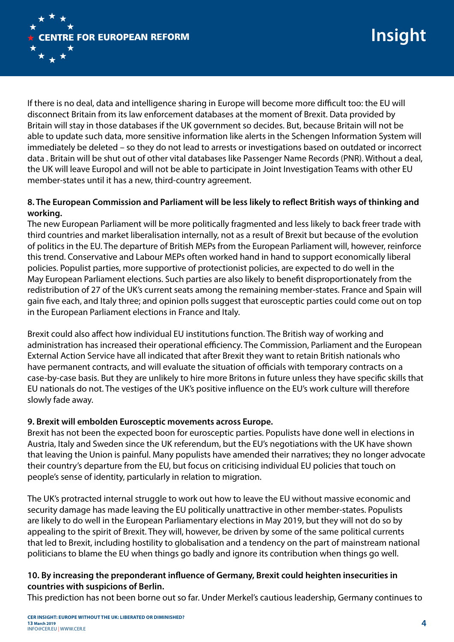

If there is no deal, data and intelligence sharing in Europe will become more difficult too: the EU will disconnect Britain from its law enforcement databases at the moment of Brexit. Data provided by Britain will stay in those databases if the UK government so decides. But, because Britain will not be able to update such data, more sensitive information like alerts in the Schengen Information System will immediately be deleted – so they do not lead to arrests or investigations based on outdated or incorrect data . Britain will be shut out of other vital databases like Passenger Name Records (PNR). Without a deal, the UK will leave Europol and will not be able to participate in Joint Investigation Teams with other EU member-states until it has a new, third-country agreement.

## **8. The European Commission and Parliament will be less likely to reflect British ways of thinking and working.**

The new European Parliament will be more politically fragmented and less likely to back freer trade with third countries and market liberalisation internally, not as a result of Brexit but because of the evolution of politics in the EU. The departure of British MEPs from the European Parliament will, however, reinforce this trend. Conservative and Labour MEPs often worked hand in hand to support economically liberal policies. Populist parties, more supportive of protectionist policies, are expected to do well in the May European Parliament elections. Such parties are also likely to benefit disproportionately from the redistribution of 27 of the UK's current seats among the remaining member-states. France and Spain will gain five each, and Italy three; and opinion polls suggest that eurosceptic parties could come out on top in the European Parliament elections in France and Italy.

Brexit could also affect how individual EU institutions function. The British way of working and administration has increased their operational efficiency. The Commission, Parliament and the European External Action Service have all indicated that after Brexit they want to retain British nationals who have permanent contracts, and will evaluate the situation of officials with temporary contracts on a case-by-case basis. But they are unlikely to hire more Britons in future unless they have specific skills that EU nationals do not. The vestiges of the UK's positive influence on the EU's work culture will therefore slowly fade away.

#### **9. Brexit will embolden Eurosceptic movements across Europe.**

Brexit has not been the expected boon for eurosceptic parties. Populists have done well in elections in Austria, Italy and Sweden since the UK referendum, but the EU's negotiations with the UK have shown that leaving the Union is painful. Many populists have amended their narratives; they no longer advocate their country's departure from the EU, but focus on criticising individual EU policies that touch on people's sense of identity, particularly in relation to migration.

The UK's protracted internal struggle to work out how to leave the EU without massive economic and security damage has made leaving the EU politically unattractive in other member-states. Populists are likely to do well in the European Parliamentary elections in May 2019, but they will not do so by appealing to the spirit of Brexit. They will, however, be driven by some of the same political currents that led to Brexit, including hostility to globalisation and a tendency on the part of mainstream national politicians to blame the EU when things go badly and ignore its contribution when things go well.

# **10. By increasing the preponderant influence of Germany, Brexit could heighten insecurities in countries with suspicions of Berlin.**

This prediction has not been borne out so far. Under Merkel's cautious leadership, Germany continues to